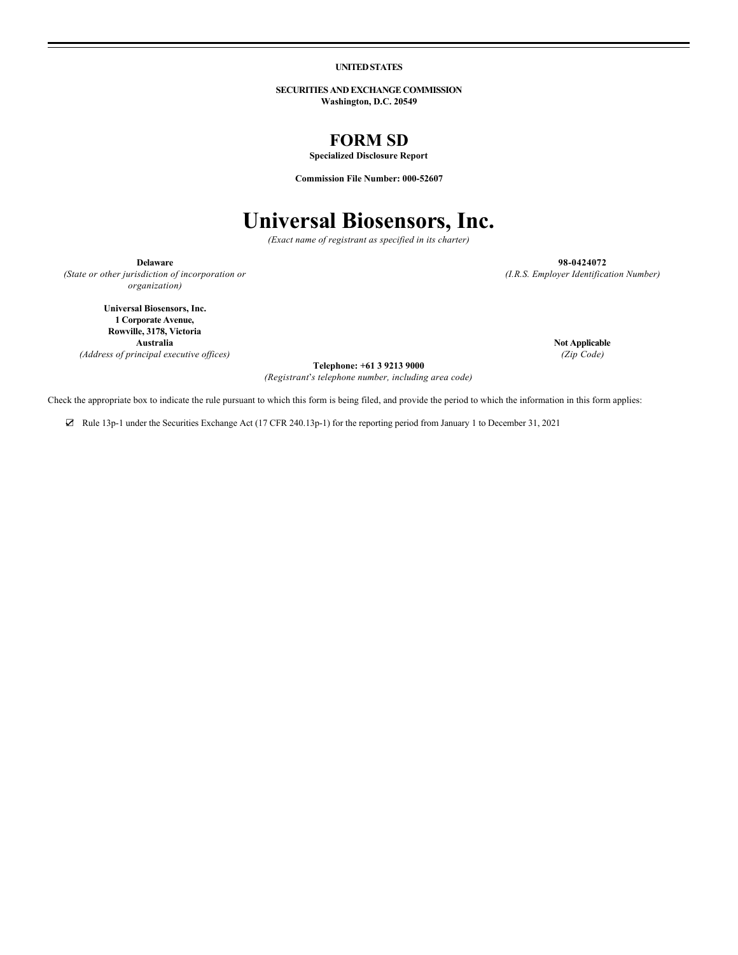**UNITED STATES**

**SECURITIES AND EXCHANGE COMMISSION Washington, D.C. 20549**

# **FORM SD**

**Specialized Disclosure Report**

**Commission File Number: 000-52607**

# **Universal Biosensors, Inc.**

*(Exact name of registrant as specified in its charter)*

*(State or other jurisdiction of incorporation or organization)*

**Delaware 98-0424072** *(I.R.S. Employer Identification Number)*

**Universal Biosensors, Inc. 1 Corporate Avenue, Rowville, 3178, Victoria**

**Australia Not Applicable**<br> **Not Applicable**<br> *Not Applicable*<br> *Not Applicable*<br> *Not Applicable*<br> *(Zip Code) (Address of principal executive offices)* 

**Telephone: +61 3 9213 9000**

*(Registrant*'*s telephone number, including area code)*

Check the appropriate box to indicate the rule pursuant to which this form is being filed, and provide the period to which the information in this form applies:

☑ Rule 13p-1 under the Securities Exchange Act (17 CFR 240.13p-1) for the reporting period from January 1 to December 31, 2021